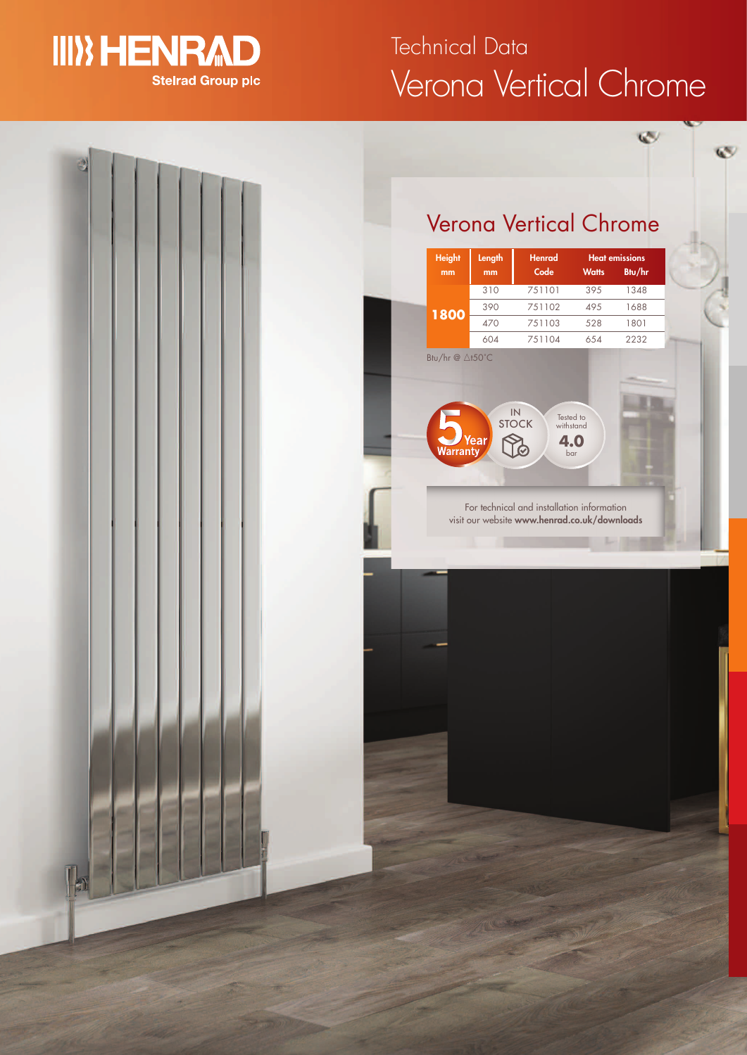

# Verona Vertical Chrome Technical Data

 $\mathbb{C}$ 

 $\mathbf{C}$ 

## Verona Vertical Chrome

| <b>Height</b> | Length          | <b>Henrad</b>       |                  |        |  | <b>Heat emissions</b> |
|---------------|-----------------|---------------------|------------------|--------|--|-----------------------|
| mm            | mm              | Code                | <b>Watts</b>     | Btu/hr |  |                       |
|               | 310             | 751101              | 395              | 1348   |  |                       |
| 1800          | 390             | 751102              | 495              | 1688   |  |                       |
|               | 470             | 751103              | 528              | 1801   |  |                       |
|               | 604             | 751104              | 654              | 2232   |  |                       |
|               | Btu/hr @ ∆t50°C | IN                  | Tested to        |        |  |                       |
| Warranty      | Year            | <b>STOCK</b><br>4.0 | withstand<br>bar |        |  |                       |